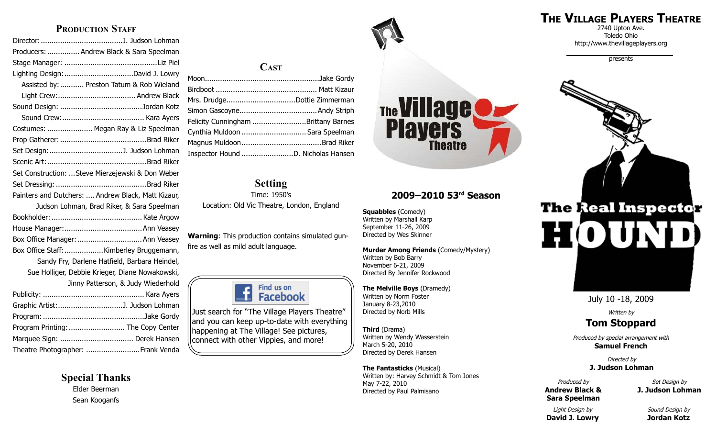#### **PRODUCTION STAFF**

| Producers:  Andrew Black & Sara Speelman           |
|----------------------------------------------------|
|                                                    |
| Lighting Design: David J. Lowry                    |
| Assisted by:  Preston Tatum & Rob Wieland          |
|                                                    |
|                                                    |
|                                                    |
| Costumes:  Megan Ray & Liz Speelman                |
|                                                    |
|                                                    |
|                                                    |
| Set Construction:  Steve Mierzejewski & Don Weber  |
|                                                    |
| Painters and Dutchers:  Andrew Black, Matt Kizaur, |
| Judson Lohman, Brad Riker, & Sara Speelman         |
|                                                    |
|                                                    |
| Box Office Manager:  Ann Veasey                    |
| Box Office Staff: Kimberley Bruggemann,            |
| Sandy Fry, Darlene Hatfield, Barbara Heindel,      |
| Sue Holliger, Debbie Krieger, Diane Nowakowski,    |
| Jinny Patterson, & Judy Wiederhold                 |
|                                                    |
|                                                    |
|                                                    |
| Program Printing:  The Copy Center                 |
| Marquee Sign:  Derek Hansen                        |
| Theatre Photographer: Frank Venda                  |

**Special Thanks** Elder Beerman Sean Kooganfs

#### **Cast**

| Mrs. DrudgeDottie Zimmerman         |  |
|-------------------------------------|--|
|                                     |  |
| Felicity Cunningham Brittany Barnes |  |
| Cynthia Muldoon  Sara Speelman      |  |
|                                     |  |
|                                     |  |
|                                     |  |

#### **Setting**

Time: 1950's Location: Old Vic Theatre, London, England

**Warning**: This production contains simulated gunfire as well as mild adult language.



Just search for "The Village Players Theatre" and you can keep up-to-date with everything happening at The Village! See pictures, connect with other Vippies, and more!

# The Village **Theatre**

#### **2009–2010 53rd Season**

**Squabbles** (Comedy) Written by Marshall Karp September 11-26, 2009 Directed by Wes Skinner

**Murder Among Friends** (Comedy/Mystery)

Written by Bob Barry November 6-21, 2009 Directed By Jennifer Rockwood

**The Melville Boys** (Dramedy) Written by Norm Foster January 8-23,2010 Directed by Norb Mills

**Third** (Drama) Written by Wendy Wasserstein March 5-20, 2010 Directed by Derek Hansen

**The Fantasticks** (Musical) Written by: Harvey Schmidt & Tom Jones May 7-22, 2010 Directed by Paul Palmisano

## **The Village Players Theatre**

2740 Upton Ave. Toledo Ohio http://www.thevillageplayers.org

presents



July 10 -18, 2009

Written by

#### **Tom Stoppard**

Produced by special arrangement with **Samuel French**

> Directed by **J. Judson Lohman**

Produced by **Andrew Black & Sara Speelman**

Set Design by **J. Judson Lohman**

Light Design by **David J. Lowry**

Sound Design by **Jordan Kotz**